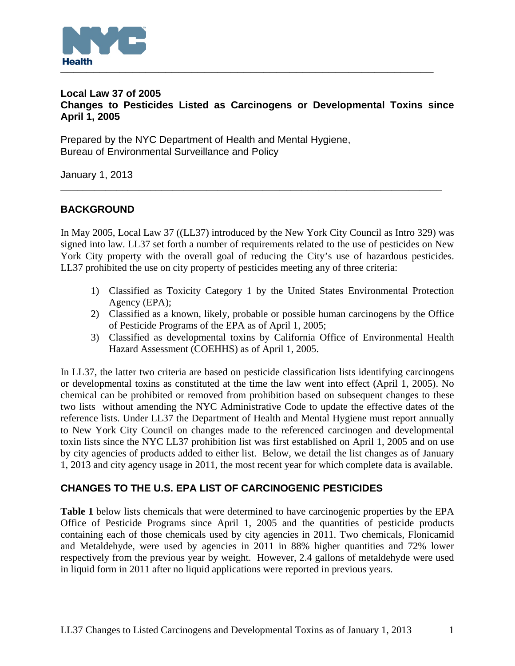

### **Local Law 37 of 2005 Changes to Pesticides Listed as Carcinogens or Developmental Toxins since April 1, 2005**

Prepared by the NYC Department of Health and Mental Hygiene, Bureau of Environmental Surveillance and Policy

January 1, 2013

## **BACKGROUND**

In May 2005, Local Law 37 ((LL37) introduced by the New York City Council as Intro 329) was signed into law. LL37 set forth a number of requirements related to the use of pesticides on New York City property with the overall goal of reducing the City's use of hazardous pesticides. LL37 prohibited the use on city property of pesticides meeting any of three criteria:

**\_\_\_\_\_\_\_\_\_\_\_\_\_\_\_\_\_\_\_\_\_\_\_\_\_\_\_\_\_\_\_\_\_\_\_\_\_\_\_\_\_\_\_\_\_\_\_\_\_\_\_\_\_\_\_\_\_\_\_\_\_\_\_\_\_\_\_\_** 

- 1) Classified as Toxicity Category 1 by the United States Environmental Protection Agency (EPA);
- 2) Classified as a known, likely, probable or possible human carcinogens by the Office of Pesticide Programs of the EPA as of April 1, 2005;
- 3) Classified as developmental toxins by California Office of Environmental Health Hazard Assessment (COEHHS) as of April 1, 2005.

In LL37, the latter two criteria are based on pesticide classification lists identifying carcinogens or developmental toxins as constituted at the time the law went into effect (April 1, 2005). No chemical can be prohibited or removed from prohibition based on subsequent changes to these two lists without amending the NYC Administrative Code to update the effective dates of the reference lists. Under LL37 the Department of Health and Mental Hygiene must report annually to New York City Council on changes made to the referenced carcinogen and developmental toxin lists since the NYC LL37 prohibition list was first established on April 1, 2005 and on use by city agencies of products added to either list. Below, we detail the list changes as of January 1, 2013 and city agency usage in 2011, the most recent year for which complete data is available.

### **CHANGES TO THE U.S. EPA LIST OF CARCINOGENIC PESTICIDES**

**Table 1** below lists chemicals that were determined to have carcinogenic properties by the EPA Office of Pesticide Programs since April 1, 2005 and the quantities of pesticide products containing each of those chemicals used by city agencies in 2011. Two chemicals, Flonicamid and Metaldehyde, were used by agencies in 2011 in 88% higher quantities and 72% lower respectively from the previous year by weight. However, 2.4 gallons of metaldehyde were used in liquid form in 2011 after no liquid applications were reported in previous years.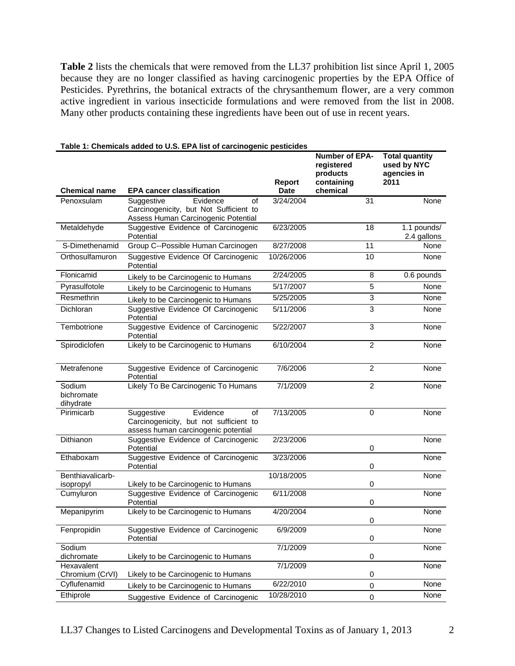**Table 2** lists the chemicals that were removed from the LL37 prohibition list since April 1, 2005 because they are no longer classified as having carcinogenic properties by the EPA Office of Pesticides. Pyrethrins, the botanical extracts of the chrysanthemum flower, are a very common active ingredient in various insecticide formulations and were removed from the list in 2008. Many other products containing these ingredients have been out of use in recent years.

| <b>Chemical name</b>              | <b>EPA cancer classification</b>                                                                              | Report<br>Date | <b>Number of EPA-</b><br>registered<br>products<br>containing<br>chemical | <b>Total quantity</b><br>used by NYC<br>agencies in<br>2011 |
|-----------------------------------|---------------------------------------------------------------------------------------------------------------|----------------|---------------------------------------------------------------------------|-------------------------------------------------------------|
| Penoxsulam                        | Evidence<br>of<br>Suggestive<br>Carcinogenicity, but Not Sufficient to<br>Assess Human Carcinogenic Potential | 3/24/2004      | 31                                                                        | None                                                        |
| Metaldehyde                       | Suggestive Evidence of Carcinogenic<br>Potential                                                              | 6/23/2005      | 18                                                                        | 1.1 pounds/<br>2.4 gallons                                  |
| S-Dimethenamid                    | Group C--Possible Human Carcinogen                                                                            | 8/27/2008      | 11                                                                        | None                                                        |
| Orthosulfamuron                   | Suggestive Evidence Of Carcinogenic<br>Potential                                                              | 10/26/2006     | 10                                                                        | None                                                        |
| Flonicamid                        | Likely to be Carcinogenic to Humans                                                                           | 2/24/2005      | 8                                                                         | 0.6 pounds                                                  |
| Pyrasulfotole                     | Likely to be Carcinogenic to Humans                                                                           | 5/17/2007      | 5                                                                         | None                                                        |
| Resmethrin                        | Likely to be Carcinogenic to Humans                                                                           | 5/25/2005      | 3                                                                         | None                                                        |
| Dichloran                         | Suggestive Evidence Of Carcinogenic<br>Potential                                                              | 5/11/2006      | 3                                                                         | None                                                        |
| Tembotrione                       | Suggestive Evidence of Carcinogenic<br>Potential                                                              | 5/22/2007      | 3                                                                         | None                                                        |
| Spirodiclofen                     | Likely to be Carcinogenic to Humans                                                                           | 6/10/2004      | $\overline{2}$                                                            | None                                                        |
| Metrafenone                       | Suggestive Evidence of Carcinogenic<br>Potential                                                              | 7/6/2006       | $\overline{2}$                                                            | None                                                        |
| Sodium<br>bichromate<br>dihydrate | Likely To Be Carcinogenic To Humans                                                                           | 7/1/2009       | $\overline{2}$                                                            | None                                                        |
| Pirimicarb                        | Evidence<br>Suggestive<br>of<br>Carcinogenicity, but not sufficient to<br>assess human carcinogenic potential | 7/13/2005      | $\Omega$                                                                  | None                                                        |
| Dithianon                         | Suggestive Evidence of Carcinogenic<br>Potential                                                              | 2/23/2006      | $\mathbf 0$                                                               | None                                                        |
| Ethaboxam                         | Suggestive Evidence of Carcinogenic<br>Potential                                                              | 3/23/2006      | 0                                                                         | None                                                        |
| Benthiavalicarb-<br>isopropyl     | Likely to be Carcinogenic to Humans                                                                           | 10/18/2005     | 0                                                                         | None                                                        |
| Cumyluron                         | Suggestive Evidence of Carcinogenic<br>Potential                                                              | 6/11/2008      | 0                                                                         | None                                                        |
| Mepanipyrim                       | Likely to be Carcinogenic to Humans                                                                           | 4/20/2004      | 0                                                                         | None                                                        |
| Fenpropidin                       | Suggestive Evidence of Carcinogenic<br>Potential                                                              | 6/9/2009       | 0                                                                         | None                                                        |
| Sodium                            |                                                                                                               | 7/1/2009       |                                                                           | None                                                        |
| dichromate<br>Hexavalent          | Likely to be Carcinogenic to Humans                                                                           | 7/1/2009       | 0                                                                         | None                                                        |
| Chromium (CrVI)<br>Cyflufenamid   | Likely to be Carcinogenic to Humans                                                                           | 6/22/2010      | $\pmb{0}$                                                                 | None                                                        |
| Ethiprole                         | Likely to be Carcinogenic to Humans<br>Suggestive Evidence of Carcinogenic                                    | 10/28/2010     | 0<br>$\pmb{0}$                                                            | None                                                        |
|                                   |                                                                                                               |                |                                                                           |                                                             |

#### **Table 1: Chemicals added to U.S. EPA list of carcinogenic pesticides**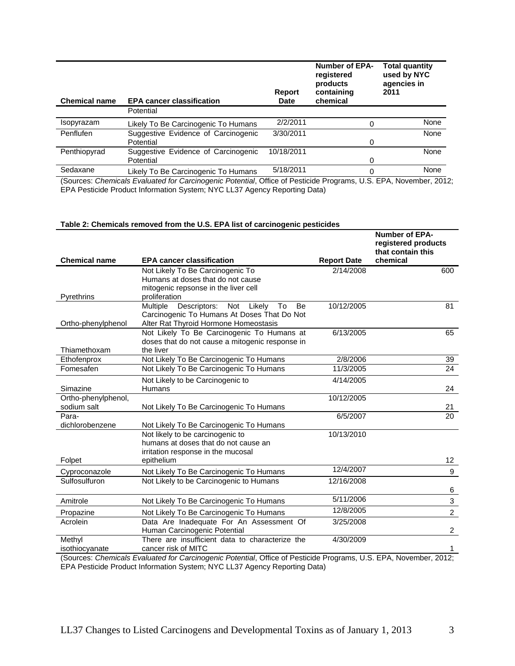| <b>Chemical name</b>                 | <b>EPA cancer classification</b>                 | Report<br><b>Date</b> | <b>Number of EPA-</b><br>registered<br>products<br>containing<br>chemical | <b>Total quantity</b><br>used by NYC<br>agencies in<br>2011 |
|--------------------------------------|--------------------------------------------------|-----------------------|---------------------------------------------------------------------------|-------------------------------------------------------------|
|                                      | Potential                                        |                       |                                                                           |                                                             |
| Isopyrazam                           | Likely To Be Carcinogenic To Humans              | 2/2/2011              |                                                                           | None                                                        |
| Penflufen                            | Suggestive Evidence of Carcinogenic<br>Potential | 3/30/2011             | 0                                                                         | None                                                        |
| Penthiopyrad                         | Suggestive Evidence of Carcinogenic<br>Potential | 10/18/2011            | 0                                                                         | None                                                        |
| Sedaxane<br>$\overline{\phantom{a}}$ | Likely To Be Carcinogenic To Humans              | 5/18/2011             | U                                                                         | None                                                        |

(Sources: *Chemicals Evaluated for Carcinogenic Potential*, Office of Pesticide Programs, U.S. EPA, November, 2012; EPA Pesticide Product Information System; NYC LL37 Agency Reporting Data)

#### **Table 2: Chemicals removed from the U.S. EPA list of carcinogenic pesticides**

| chemical<br><b>Chemical name</b><br><b>EPA cancer classification</b><br><b>Report Date</b><br>Not Likely To Be Carcinogenic To<br>2/14/2008<br>600<br>Humans at doses that do not cause<br>mitogenic repsonse in the liver cell<br>Pyrethrins<br>proliferation<br>Multiple<br>10/12/2005<br>81<br>Descriptors:<br>Not Likely<br><b>Be</b><br>To<br>Carcinogenic To Humans At Doses That Do Not<br>Alter Rat Thyroid Hormone Homeostasis<br>Ortho-phenylphenol<br>Not Likely To Be Carcinogenic To Humans at<br>6/13/2005<br>65<br>doses that do not cause a mitogenic response in<br>the liver<br>Thiamethoxam<br>Not Likely To Be Carcinogenic To Humans<br>2/8/2006<br>39<br>Ethofenprox<br>Fomesafen<br>Not Likely To Be Carcinogenic To Humans<br>11/3/2005<br>24<br>4/14/2005<br>Not Likely to be Carcinogenic to<br>Simazine<br><b>Humans</b><br>24<br>10/12/2005<br>Ortho-phenylphenol,<br>sodium salt<br>Not Likely To Be Carcinogenic To Humans<br>21<br>20<br>Para-<br>6/5/2007<br>dichlorobenzene<br>Not Likely To Be Carcinogenic To Humans<br>Not likely to be carcinogenic to<br>10/13/2010<br>humans at doses that do not cause an<br>irritation response in the mucosal<br>epithelium<br>Folpet<br>12 <sup>12</sup><br>12/4/2007<br>9<br>Cyproconazole<br>Not Likely To Be Carcinogenic To Humans<br>Sulfosulfuron<br>Not Likely to be Carcinogenic to Humans<br>12/16/2008<br>6<br>5/11/2006<br>3<br>Amitrole<br>Not Likely To Be Carcinogenic To Humans<br>12/8/2005<br>$\overline{2}$<br>Not Likely To Be Carcinogenic To Humans<br>Propazine<br>Data Are Inadequate For An Assessment Of<br>Acrolein<br>3/25/2008<br>Human Carcinogenic Potential<br>$\overline{2}$<br>4/30/2009<br>There are insufficient data to characterize the<br>Methyl<br>cancer risk of MITC<br>isothiocyanate<br>1.<br>Courses: Chamisale Evaluated for Carsinograpic Petertial Office of Pesticide Programs II.S. EDA November 2012: |  | <b>Number of EPA-</b><br>registered products<br>that contain this |
|------------------------------------------------------------------------------------------------------------------------------------------------------------------------------------------------------------------------------------------------------------------------------------------------------------------------------------------------------------------------------------------------------------------------------------------------------------------------------------------------------------------------------------------------------------------------------------------------------------------------------------------------------------------------------------------------------------------------------------------------------------------------------------------------------------------------------------------------------------------------------------------------------------------------------------------------------------------------------------------------------------------------------------------------------------------------------------------------------------------------------------------------------------------------------------------------------------------------------------------------------------------------------------------------------------------------------------------------------------------------------------------------------------------------------------------------------------------------------------------------------------------------------------------------------------------------------------------------------------------------------------------------------------------------------------------------------------------------------------------------------------------------------------------------------------------------------------------------------------------------------------------------------------------------------------|--|-------------------------------------------------------------------|
|                                                                                                                                                                                                                                                                                                                                                                                                                                                                                                                                                                                                                                                                                                                                                                                                                                                                                                                                                                                                                                                                                                                                                                                                                                                                                                                                                                                                                                                                                                                                                                                                                                                                                                                                                                                                                                                                                                                                    |  |                                                                   |
|                                                                                                                                                                                                                                                                                                                                                                                                                                                                                                                                                                                                                                                                                                                                                                                                                                                                                                                                                                                                                                                                                                                                                                                                                                                                                                                                                                                                                                                                                                                                                                                                                                                                                                                                                                                                                                                                                                                                    |  |                                                                   |
|                                                                                                                                                                                                                                                                                                                                                                                                                                                                                                                                                                                                                                                                                                                                                                                                                                                                                                                                                                                                                                                                                                                                                                                                                                                                                                                                                                                                                                                                                                                                                                                                                                                                                                                                                                                                                                                                                                                                    |  |                                                                   |
|                                                                                                                                                                                                                                                                                                                                                                                                                                                                                                                                                                                                                                                                                                                                                                                                                                                                                                                                                                                                                                                                                                                                                                                                                                                                                                                                                                                                                                                                                                                                                                                                                                                                                                                                                                                                                                                                                                                                    |  |                                                                   |
|                                                                                                                                                                                                                                                                                                                                                                                                                                                                                                                                                                                                                                                                                                                                                                                                                                                                                                                                                                                                                                                                                                                                                                                                                                                                                                                                                                                                                                                                                                                                                                                                                                                                                                                                                                                                                                                                                                                                    |  |                                                                   |
|                                                                                                                                                                                                                                                                                                                                                                                                                                                                                                                                                                                                                                                                                                                                                                                                                                                                                                                                                                                                                                                                                                                                                                                                                                                                                                                                                                                                                                                                                                                                                                                                                                                                                                                                                                                                                                                                                                                                    |  |                                                                   |
|                                                                                                                                                                                                                                                                                                                                                                                                                                                                                                                                                                                                                                                                                                                                                                                                                                                                                                                                                                                                                                                                                                                                                                                                                                                                                                                                                                                                                                                                                                                                                                                                                                                                                                                                                                                                                                                                                                                                    |  |                                                                   |
|                                                                                                                                                                                                                                                                                                                                                                                                                                                                                                                                                                                                                                                                                                                                                                                                                                                                                                                                                                                                                                                                                                                                                                                                                                                                                                                                                                                                                                                                                                                                                                                                                                                                                                                                                                                                                                                                                                                                    |  |                                                                   |
|                                                                                                                                                                                                                                                                                                                                                                                                                                                                                                                                                                                                                                                                                                                                                                                                                                                                                                                                                                                                                                                                                                                                                                                                                                                                                                                                                                                                                                                                                                                                                                                                                                                                                                                                                                                                                                                                                                                                    |  |                                                                   |
|                                                                                                                                                                                                                                                                                                                                                                                                                                                                                                                                                                                                                                                                                                                                                                                                                                                                                                                                                                                                                                                                                                                                                                                                                                                                                                                                                                                                                                                                                                                                                                                                                                                                                                                                                                                                                                                                                                                                    |  |                                                                   |
|                                                                                                                                                                                                                                                                                                                                                                                                                                                                                                                                                                                                                                                                                                                                                                                                                                                                                                                                                                                                                                                                                                                                                                                                                                                                                                                                                                                                                                                                                                                                                                                                                                                                                                                                                                                                                                                                                                                                    |  |                                                                   |
|                                                                                                                                                                                                                                                                                                                                                                                                                                                                                                                                                                                                                                                                                                                                                                                                                                                                                                                                                                                                                                                                                                                                                                                                                                                                                                                                                                                                                                                                                                                                                                                                                                                                                                                                                                                                                                                                                                                                    |  |                                                                   |
|                                                                                                                                                                                                                                                                                                                                                                                                                                                                                                                                                                                                                                                                                                                                                                                                                                                                                                                                                                                                                                                                                                                                                                                                                                                                                                                                                                                                                                                                                                                                                                                                                                                                                                                                                                                                                                                                                                                                    |  |                                                                   |
|                                                                                                                                                                                                                                                                                                                                                                                                                                                                                                                                                                                                                                                                                                                                                                                                                                                                                                                                                                                                                                                                                                                                                                                                                                                                                                                                                                                                                                                                                                                                                                                                                                                                                                                                                                                                                                                                                                                                    |  |                                                                   |
|                                                                                                                                                                                                                                                                                                                                                                                                                                                                                                                                                                                                                                                                                                                                                                                                                                                                                                                                                                                                                                                                                                                                                                                                                                                                                                                                                                                                                                                                                                                                                                                                                                                                                                                                                                                                                                                                                                                                    |  |                                                                   |
|                                                                                                                                                                                                                                                                                                                                                                                                                                                                                                                                                                                                                                                                                                                                                                                                                                                                                                                                                                                                                                                                                                                                                                                                                                                                                                                                                                                                                                                                                                                                                                                                                                                                                                                                                                                                                                                                                                                                    |  |                                                                   |
|                                                                                                                                                                                                                                                                                                                                                                                                                                                                                                                                                                                                                                                                                                                                                                                                                                                                                                                                                                                                                                                                                                                                                                                                                                                                                                                                                                                                                                                                                                                                                                                                                                                                                                                                                                                                                                                                                                                                    |  |                                                                   |
|                                                                                                                                                                                                                                                                                                                                                                                                                                                                                                                                                                                                                                                                                                                                                                                                                                                                                                                                                                                                                                                                                                                                                                                                                                                                                                                                                                                                                                                                                                                                                                                                                                                                                                                                                                                                                                                                                                                                    |  |                                                                   |
|                                                                                                                                                                                                                                                                                                                                                                                                                                                                                                                                                                                                                                                                                                                                                                                                                                                                                                                                                                                                                                                                                                                                                                                                                                                                                                                                                                                                                                                                                                                                                                                                                                                                                                                                                                                                                                                                                                                                    |  |                                                                   |
|                                                                                                                                                                                                                                                                                                                                                                                                                                                                                                                                                                                                                                                                                                                                                                                                                                                                                                                                                                                                                                                                                                                                                                                                                                                                                                                                                                                                                                                                                                                                                                                                                                                                                                                                                                                                                                                                                                                                    |  |                                                                   |
|                                                                                                                                                                                                                                                                                                                                                                                                                                                                                                                                                                                                                                                                                                                                                                                                                                                                                                                                                                                                                                                                                                                                                                                                                                                                                                                                                                                                                                                                                                                                                                                                                                                                                                                                                                                                                                                                                                                                    |  |                                                                   |
|                                                                                                                                                                                                                                                                                                                                                                                                                                                                                                                                                                                                                                                                                                                                                                                                                                                                                                                                                                                                                                                                                                                                                                                                                                                                                                                                                                                                                                                                                                                                                                                                                                                                                                                                                                                                                                                                                                                                    |  |                                                                   |
|                                                                                                                                                                                                                                                                                                                                                                                                                                                                                                                                                                                                                                                                                                                                                                                                                                                                                                                                                                                                                                                                                                                                                                                                                                                                                                                                                                                                                                                                                                                                                                                                                                                                                                                                                                                                                                                                                                                                    |  |                                                                   |
|                                                                                                                                                                                                                                                                                                                                                                                                                                                                                                                                                                                                                                                                                                                                                                                                                                                                                                                                                                                                                                                                                                                                                                                                                                                                                                                                                                                                                                                                                                                                                                                                                                                                                                                                                                                                                                                                                                                                    |  |                                                                   |
|                                                                                                                                                                                                                                                                                                                                                                                                                                                                                                                                                                                                                                                                                                                                                                                                                                                                                                                                                                                                                                                                                                                                                                                                                                                                                                                                                                                                                                                                                                                                                                                                                                                                                                                                                                                                                                                                                                                                    |  |                                                                   |
|                                                                                                                                                                                                                                                                                                                                                                                                                                                                                                                                                                                                                                                                                                                                                                                                                                                                                                                                                                                                                                                                                                                                                                                                                                                                                                                                                                                                                                                                                                                                                                                                                                                                                                                                                                                                                                                                                                                                    |  |                                                                   |
|                                                                                                                                                                                                                                                                                                                                                                                                                                                                                                                                                                                                                                                                                                                                                                                                                                                                                                                                                                                                                                                                                                                                                                                                                                                                                                                                                                                                                                                                                                                                                                                                                                                                                                                                                                                                                                                                                                                                    |  |                                                                   |
|                                                                                                                                                                                                                                                                                                                                                                                                                                                                                                                                                                                                                                                                                                                                                                                                                                                                                                                                                                                                                                                                                                                                                                                                                                                                                                                                                                                                                                                                                                                                                                                                                                                                                                                                                                                                                                                                                                                                    |  |                                                                   |
|                                                                                                                                                                                                                                                                                                                                                                                                                                                                                                                                                                                                                                                                                                                                                                                                                                                                                                                                                                                                                                                                                                                                                                                                                                                                                                                                                                                                                                                                                                                                                                                                                                                                                                                                                                                                                                                                                                                                    |  |                                                                   |
|                                                                                                                                                                                                                                                                                                                                                                                                                                                                                                                                                                                                                                                                                                                                                                                                                                                                                                                                                                                                                                                                                                                                                                                                                                                                                                                                                                                                                                                                                                                                                                                                                                                                                                                                                                                                                                                                                                                                    |  |                                                                   |
|                                                                                                                                                                                                                                                                                                                                                                                                                                                                                                                                                                                                                                                                                                                                                                                                                                                                                                                                                                                                                                                                                                                                                                                                                                                                                                                                                                                                                                                                                                                                                                                                                                                                                                                                                                                                                                                                                                                                    |  |                                                                   |

(Sources: *Chemicals Evaluated for Carcinogenic Potential*, Office of Pesticide Programs, U.S. EPA, November, 2012; EPA Pesticide Product Information System; NYC LL37 Agency Reporting Data)